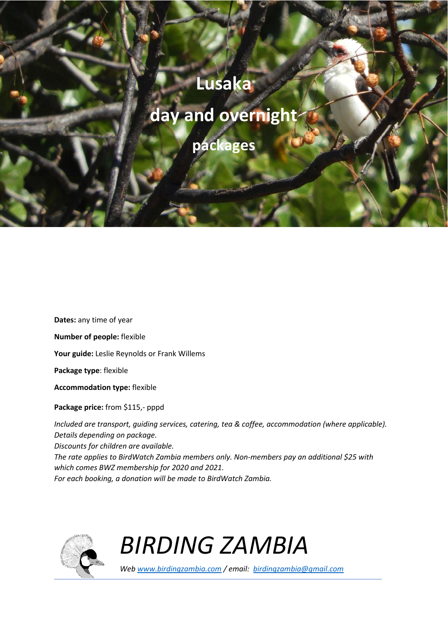## **Lusaka**

## **day and overnight**

**packages** 

**Number of people:** flexible **Your guide:** Leslie Reynolds or Frank Willems **Package type**: flexible

**Dates:** any time of year

**Accommodation type:** flexible

**Package price:** from \$115,- pppd

*Included are transport, guiding services, catering, tea & coffee, accommodation (where applicable). Details depending on package. Discounts for children are available. The rate applies to BirdWatch Zambia members only. Non-members pay an additional \$25 with which comes BWZ membership for 2020 and 2021. For each booking, a donation will be made to BirdWatch Zambia.* 



*BIRDING ZAMBIA*

*Web www.birdingzambia.com / email: birdingzambia@gmail.com*